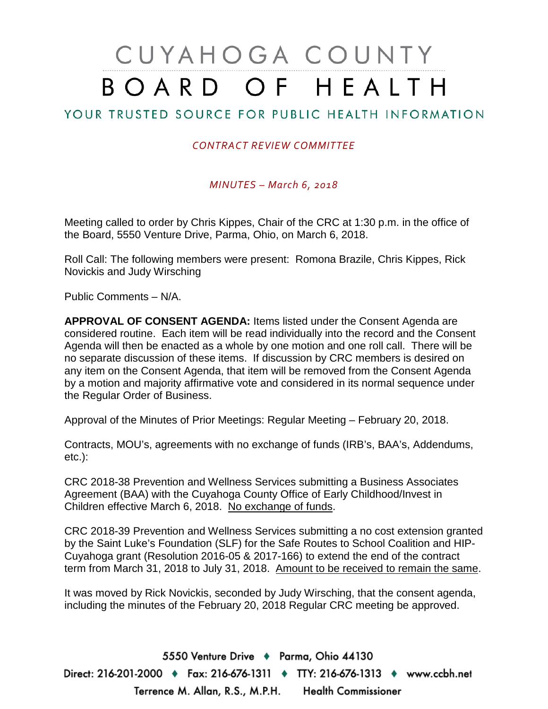# CUYAHOGA COUNTY BOARD OF HEALTH

# YOUR TRUSTED SOURCE FOR PUBLIC HEALTH INFORMATION

## *CONTRACT REVIEW COMMITTEE*

### *MINUTES – March 6, 2018*

Meeting called to order by Chris Kippes, Chair of the CRC at 1:30 p.m. in the office of the Board, 5550 Venture Drive, Parma, Ohio, on March 6, 2018.

Roll Call: The following members were present: Romona Brazile, Chris Kippes, Rick Novickis and Judy Wirsching

Public Comments – N/A.

**APPROVAL OF CONSENT AGENDA:** Items listed under the Consent Agenda are considered routine. Each item will be read individually into the record and the Consent Agenda will then be enacted as a whole by one motion and one roll call. There will be no separate discussion of these items. If discussion by CRC members is desired on any item on the Consent Agenda, that item will be removed from the Consent Agenda by a motion and majority affirmative vote and considered in its normal sequence under the Regular Order of Business.

Approval of the Minutes of Prior Meetings: Regular Meeting – February 20, 2018.

Contracts, MOU's, agreements with no exchange of funds (IRB's, BAA's, Addendums, etc.):

CRC 2018-38 Prevention and Wellness Services submitting a Business Associates Agreement (BAA) with the Cuyahoga County Office of Early Childhood/Invest in Children effective March 6, 2018. No exchange of funds.

CRC 2018-39 Prevention and Wellness Services submitting a no cost extension granted by the Saint Luke's Foundation (SLF) for the Safe Routes to School Coalition and HIP-Cuyahoga grant (Resolution 2016-05 & 2017-166) to extend the end of the contract term from March 31, 2018 to July 31, 2018. Amount to be received to remain the same.

It was moved by Rick Novickis, seconded by Judy Wirsching, that the consent agenda, including the minutes of the February 20, 2018 Regular CRC meeting be approved.

5550 Venture Drive + Parma, Ohio 44130 Direct: 216-201-2000 ♦ Fax: 216-676-1311 ♦ TTY: 216-676-1313 ♦ www.ccbh.net Terrence M. Allan, R.S., M.P.H. Health Commissioner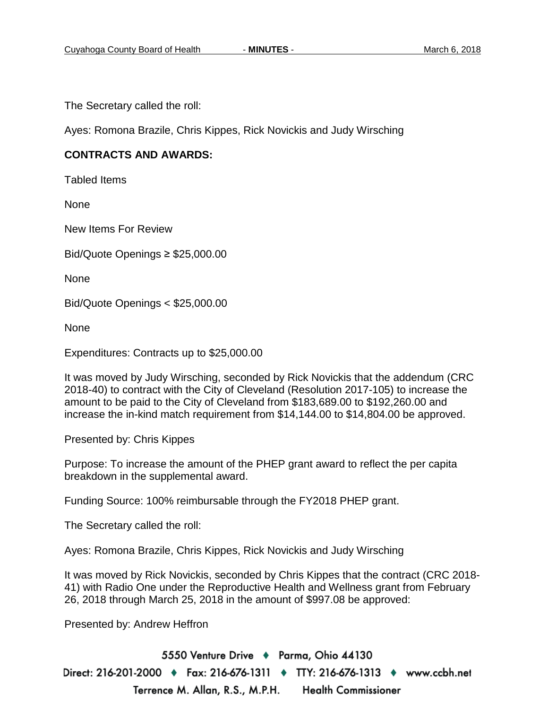The Secretary called the roll:

Ayes: Romona Brazile, Chris Kippes, Rick Novickis and Judy Wirsching

### **CONTRACTS AND AWARDS:**

Tabled Items

None

New Items For Review

Bid/Quote Openings ≥ \$25,000.00

None

Bid/Quote Openings < \$25,000.00

None

Expenditures: Contracts up to \$25,000.00

It was moved by Judy Wirsching, seconded by Rick Novickis that the addendum (CRC 2018-40) to contract with the City of Cleveland (Resolution 2017-105) to increase the amount to be paid to the City of Cleveland from \$183,689.00 to \$192,260.00 and increase the in-kind match requirement from \$14,144.00 to \$14,804.00 be approved.

Presented by: Chris Kippes

Purpose: To increase the amount of the PHEP grant award to reflect the per capita breakdown in the supplemental award.

Funding Source: 100% reimbursable through the FY2018 PHEP grant.

The Secretary called the roll:

Ayes: Romona Brazile, Chris Kippes, Rick Novickis and Judy Wirsching

It was moved by Rick Novickis, seconded by Chris Kippes that the contract (CRC 2018- 41) with Radio One under the Reproductive Health and Wellness grant from February 26, 2018 through March 25, 2018 in the amount of \$997.08 be approved:

Presented by: Andrew Heffron

5550 Venture Drive + Parma, Ohio 44130 Direct: 216-201-2000 ♦ Fax: 216-676-1311 ♦ TTY: 216-676-1313 ♦ www.ccbh.net Terrence M. Allan, R.S., M.P.H. **Health Commissioner**